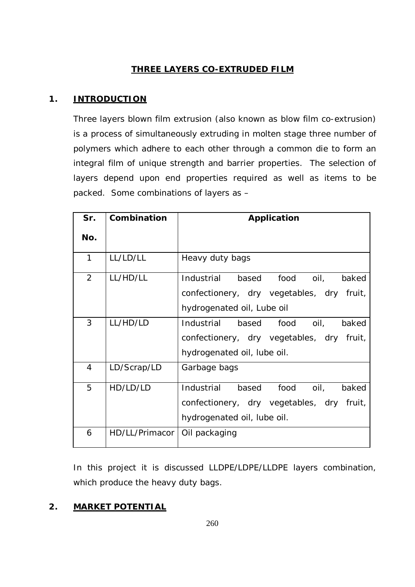# **THREE LAYERS CO-EXTRUDED FILM**

# **1. INTRODUCTION**

Three layers blown film extrusion (also known as blow film co-extrusion) is a process of simultaneously extruding in molten stage three number of polymers which adhere to each other through a common die to form an integral film of unique strength and barrier properties. The selection of layers depend upon end properties required as well as items to be packed. Some combinations of layers as –

| Sr. | Combination    | Application                                  |  |  |  |
|-----|----------------|----------------------------------------------|--|--|--|
| No. |                |                                              |  |  |  |
| 1   | LL/LD/LL       | Heavy duty bags                              |  |  |  |
| 2   | LL/HD/LL       | food<br>Industrial<br>based<br>oil,<br>baked |  |  |  |
|     |                | confectionery, dry vegetables, dry fruit,    |  |  |  |
|     |                | hydrogenated oil, Lube oil                   |  |  |  |
| 3   | LL/HD/LD       | Industrial<br>based food<br>oil,<br>baked    |  |  |  |
|     |                | confectionery, dry vegetables, dry fruit,    |  |  |  |
|     |                | hydrogenated oil, lube oil.                  |  |  |  |
| 4   | LD/Scrap/LD    | Garbage bags                                 |  |  |  |
| 5   | HD/LD/LD       | food oil,<br>Industrial<br>based<br>baked    |  |  |  |
|     |                | confectionery, dry vegetables, dry fruit,    |  |  |  |
|     |                | hydrogenated oil, lube oil.                  |  |  |  |
| 6   | HD/LL/Primacor | Oil packaging                                |  |  |  |

In this project it is discussed LLDPE/LDPE/LLDPE layers combination, which produce the heavy duty bags.

# **2. MARKET POTENTIAL**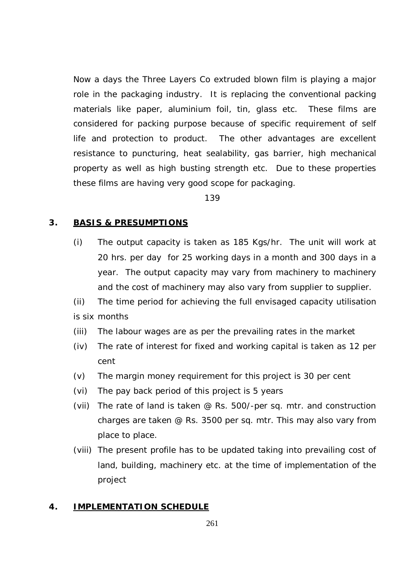Now a days the Three Layers Co extruded blown film is playing a major role in the packaging industry. It is replacing the conventional packing materials like paper, aluminium foil, tin, glass etc. These films are considered for packing purpose because of specific requirement of self life and protection to product. The other advantages are excellent resistance to puncturing, heat sealability, gas barrier, high mechanical property as well as high busting strength etc. Due to these properties these films are having very good scope for packaging.

139

#### **3. BASIS & PRESUMPTIONS**

- (i) The output capacity is taken as 185 Kgs/hr. The unit will work at 20 hrs. per day for 25 working days in a month and 300 days in a year. The output capacity may vary from machinery to machinery and the cost of machinery may also vary from supplier to supplier.
- (ii) The time period for achieving the full envisaged capacity utilisation is six months
- (iii) The labour wages are as per the prevailing rates in the market
- (iv) The rate of interest for fixed and working capital is taken as 12 per cent
- (v) The margin money requirement for this project is 30 per cent
- (vi) The pay back period of this project is 5 years
- (vii) The rate of land is taken @ Rs. 500/-per sq. mtr. and construction charges are taken @ Rs. 3500 per sq. mtr. This may also vary from place to place.
- (viii) The present profile has to be updated taking into prevailing cost of land, building, machinery etc. at the time of implementation of the project

## **4. IMPLEMENTATION SCHEDULE**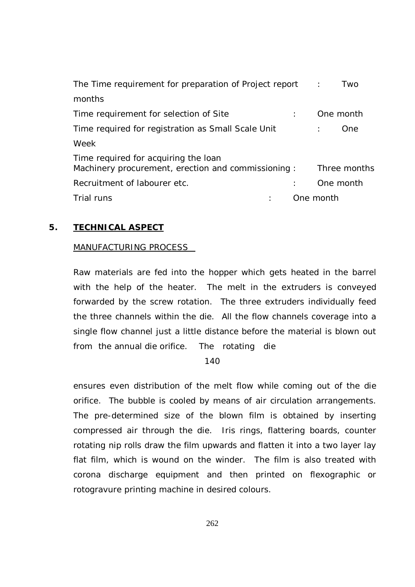| The Time requirement for preparation of Project report                                     | Two<br>$\sim$ 1. |
|--------------------------------------------------------------------------------------------|------------------|
| months                                                                                     |                  |
| Time requirement for selection of Site                                                     | One month        |
| Time required for registration as Small Scale Unit                                         | One              |
| Week                                                                                       |                  |
| Time required for acquiring the loan<br>Machinery procurement, erection and commissioning: | Three months     |
| Recruitment of labourer etc.                                                               | One month        |
| Trial runs                                                                                 | One month        |

## **5. TECHNICAL ASPECT**

#### MANUFACTURING PROCESS

Raw materials are fed into the hopper which gets heated in the barrel with the help of the heater. The melt in the extruders is conveyed forwarded by the screw rotation. The three extruders individually feed the three channels within the die. All the flow channels coverage into a single flow channel just a little distance before the material is blown out from the annual die orifice. The rotating die

140

ensures even distribution of the melt flow while coming out of the die orifice. The bubble is cooled by means of air circulation arrangements. The pre-determined size of the blown film is obtained by inserting compressed air through the die. Iris rings, flattering boards, counter rotating nip rolls draw the film upwards and flatten it into a two layer lay flat film, which is wound on the winder. The film is also treated with corona discharge equipment and then printed on flexographic or rotogravure printing machine in desired colours.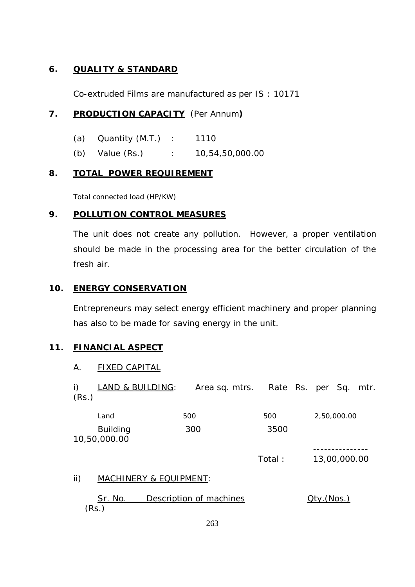## **6. QUALITY & STANDARD**

Co-extruded Films are manufactured as per IS : 10171

## **7. PRODUCTION CAPACITY** (Per Annum**)**

- (a) Quantity (M.T.) : 1110
- (b) Value (Rs.) : 10,54,50,000.00

#### **8. TOTAL POWER REQUIREMENT**

Total connected load (HP/KW)

### **9. POLLUTION CONTROL MEASURES**

The unit does not create any pollution. However, a proper ventilation should be made in the processing area for the better circulation of the fresh air.

#### **10. ENERGY CONSERVATION**

Entrepreneurs may select energy efficient machinery and proper planning has also to be made for saving energy in the unit.

## **11. FINANCIAL ASPECT**

#### A. FIXED CAPITAL

| i)<br>(Rs.) | LAND & BUILDING:                |                         |        | Area sq. mtrs. Rate Rs. per Sq. mtr. |
|-------------|---------------------------------|-------------------------|--------|--------------------------------------|
|             | Land                            | 500                     | 500    | 2,50,000.00                          |
|             | <b>Building</b><br>10,50,000.00 | 300                     | 3500   |                                      |
|             |                                 |                         | Total: | 13,00,000.00                         |
| ii)         | MACHINERY & EQUIPMENT:          |                         |        |                                      |
|             | <u>Sr. No.</u><br>(Rs.)         | Description of machines |        | <u> Qty. (Nos.)</u>                  |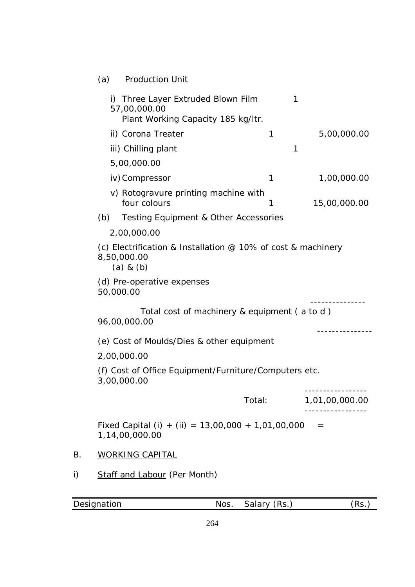| (a) | <b>Production Unit</b> |  |
|-----|------------------------|--|
|     |                        |  |

|    |     | i) Three Layer Extruded Blown Film                                                             |        | 1              |
|----|-----|------------------------------------------------------------------------------------------------|--------|----------------|
|    |     | 57,00,000.00<br>Plant Working Capacity 185 kg/ltr.                                             |        |                |
|    |     | ii) Corona Treater                                                                             | 1      | 5,00,000.00    |
|    |     | iii) Chilling plant                                                                            |        | 1              |
|    |     | 5,00,000.00                                                                                    |        |                |
|    |     | iv) Compressor                                                                                 | 1      | 1,00,000.00    |
|    |     | v) Rotogravure printing machine with<br>four colours                                           | 1      | 15,00,000.00   |
|    | (b) | <b>Testing Equipment &amp; Other Accessories</b>                                               |        |                |
|    |     | 2,00,000.00                                                                                    |        |                |
|    |     | (c) Electrification & Installation $@$ 10% of cost & machinery<br>8,50,000.00<br>$(a)$ & $(b)$ |        |                |
|    |     | (d) Pre-operative expenses<br>50,000.00                                                        |        |                |
|    |     | Total cost of machinery & equipment (a to d)<br>96,00,000.00                                   |        |                |
|    |     | (e) Cost of Moulds/Dies & other equipment                                                      |        |                |
|    |     | 2,00,000.00                                                                                    |        |                |
|    |     | (f) Cost of Office Equipment/Furniture/Computers etc.<br>3,00,000.00                           |        |                |
|    |     |                                                                                                | Total: | 1,01,00,000.00 |
|    |     | Fixed Capital (i) + (ii) = $13,00,000 + 1,01,00,000 =$<br>1,14,00,000.00                       |        |                |
| В. |     | <b>WORKING CAPITAL</b>                                                                         |        |                |
| i) |     | <b>Staff and Labour (Per Month)</b>                                                            |        |                |
|    |     |                                                                                                |        |                |

| Designation | $'Rs$ .<br>Salary<br>Nos | R<<br>. |
|-------------|--------------------------|---------|
|             |                          |         |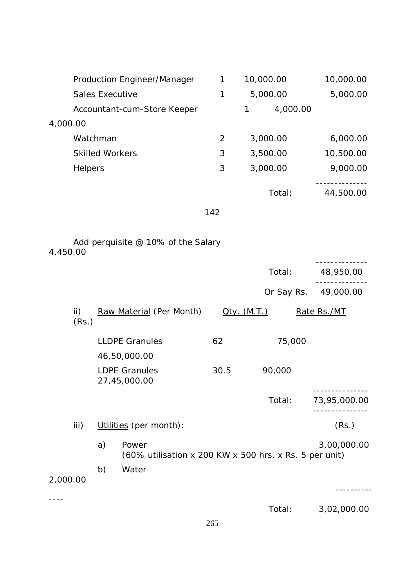|          |                        |                        | Production Engineer/Manager                                     | 1              | 10,000.00           |            | 10,000.00    |
|----------|------------------------|------------------------|-----------------------------------------------------------------|----------------|---------------------|------------|--------------|
|          |                        | <b>Sales Executive</b> |                                                                 | 1              |                     | 5,000.00   | 5,000.00     |
|          |                        |                        | Accountant-cum-Store Keeper                                     |                | 1                   | 4,000.00   |              |
| 4,000.00 |                        |                        |                                                                 |                |                     |            |              |
|          |                        | Watchman               |                                                                 | $\overline{2}$ |                     | 3,000.00   | 6,000.00     |
|          |                        | <b>Skilled Workers</b> |                                                                 | 3              |                     | 3,500.00   | 10,500.00    |
|          | <b>Helpers</b>         |                        |                                                                 | 3              |                     | 3,000.00   | 9,000.00     |
|          |                        |                        |                                                                 |                |                     | Total:     | 44,500.00    |
|          |                        |                        |                                                                 | 142            |                     |            |              |
| 4,450.00 |                        |                        | Add perquisite @ 10% of the Salary                              |                |                     |            |              |
|          |                        |                        |                                                                 |                |                     | Total:     | 48,950.00    |
|          |                        |                        |                                                                 |                |                     | Or Say Rs. | 49,000.00    |
|          |                        |                        |                                                                 |                |                     |            |              |
|          | $\mathsf{ii}$<br>(Rs.) |                        | Raw Material (Per Month)                                        |                | <u> Oty. (M.T.)</u> |            | Rate Rs./MT  |
|          |                        |                        | <b>LLDPE Granules</b>                                           | 62             |                     | 75,000     |              |
|          |                        |                        | 46,50,000.00                                                    |                |                     |            |              |
|          |                        |                        | <b>LDPE Granules</b><br>27,45,000.00                            | 30.5           |                     | 90,000     |              |
|          |                        |                        |                                                                 |                |                     | Total:     | 73,95,000.00 |
|          | iii)                   |                        | Utilities (per month):                                          |                |                     |            | (Rs.)        |
|          |                        | a)                     | Power<br>(60% utilisation x 200 KW x 500 hrs. x Rs. 5 per unit) |                |                     |            | 3,00,000.00  |
| 2,000.00 |                        | b)                     | Water                                                           |                |                     |            |              |
|          |                        |                        |                                                                 |                |                     | Total:     | 3,02,000.00  |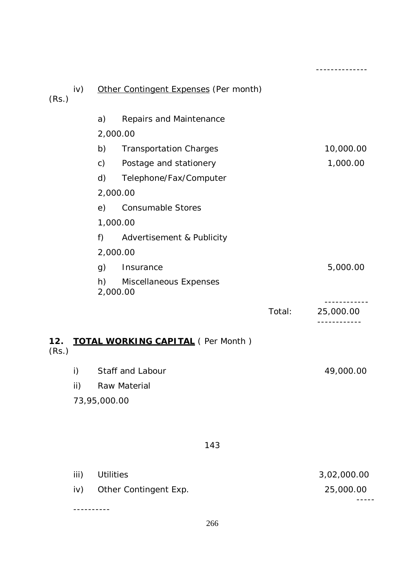| (Rs.)        | iv) |                | Other Contingent Expenses (Per month)    |        |           |
|--------------|-----|----------------|------------------------------------------|--------|-----------|
|              |     | a)             | Repairs and Maintenance                  |        |           |
|              |     | 2,000.00       |                                          |        |           |
|              |     | b)             | <b>Transportation Charges</b>            |        | 10,000.00 |
|              |     | $\mathsf{C}$ ) | Postage and stationery                   |        | 1,000.00  |
|              |     | d)             | Telephone/Fax/Computer                   |        |           |
|              |     | 2,000.00       |                                          |        |           |
|              |     | e)             | <b>Consumable Stores</b>                 |        |           |
|              |     | 1,000.00       |                                          |        |           |
|              |     | f)             | Advertisement & Publicity                |        |           |
|              |     | 2,000.00       |                                          |        |           |
|              |     | g)             | Insurance                                |        | 5,000.00  |
|              |     | 2,000.00       | h) Miscellaneous Expenses                |        |           |
|              |     |                |                                          | Total: | 25,000.00 |
| 12.<br>(Rs.) |     |                | <b>TOTAL WORKING CAPITAL (Per Month)</b> |        |           |
|              | i)  |                | Staff and Labour                         |        | 49,000.00 |
|              | ii) |                | Raw Material                             |        |           |
|              |     | 73,95,000.00   |                                          |        |           |
|              |     |                | 143                                      |        |           |

--------------

|      | iv) Other Contingent Exp. | 25,000.00   |  |  |  |
|------|---------------------------|-------------|--|--|--|
| iii) | Utilities                 | 3,02,000.00 |  |  |  |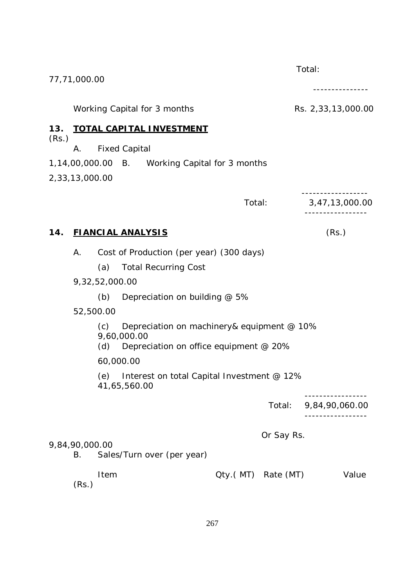|       | 77,71,000.00         |                |                                                                                                     |                    |            | Total:             |
|-------|----------------------|----------------|-----------------------------------------------------------------------------------------------------|--------------------|------------|--------------------|
|       |                      |                | Working Capital for 3 months                                                                        |                    |            | Rs. 2,33,13,000.00 |
| 13.   |                      |                | <b>TOTAL CAPITAL INVESTMENT</b>                                                                     |                    |            |                    |
| (Rs.) | А.                   |                | <b>Fixed Capital</b>                                                                                |                    |            |                    |
|       |                      |                | 1,14,00,000.00 B. Working Capital for 3 months                                                      |                    |            |                    |
|       | 2,33,13,000.00       |                |                                                                                                     |                    |            |                    |
|       |                      |                |                                                                                                     | Total:             |            | 3,47,13,000.00     |
| 14.   |                      |                | <b>FIANCIAL ANALYSIS</b>                                                                            |                    |            | (Rs.)              |
|       | Α.                   |                | Cost of Production (per year) (300 days)                                                            |                    |            |                    |
|       |                      | (a)            | <b>Total Recurring Cost</b>                                                                         |                    |            |                    |
|       |                      | 9,32,52,000.00 |                                                                                                     |                    |            |                    |
|       |                      | (b)            | Depreciation on building @ 5%                                                                       |                    |            |                    |
|       | 52,500.00            |                |                                                                                                     |                    |            |                    |
|       |                      | (c)<br>(d)     | Depreciation on machinery& equipment @ 10%<br>9,60,000.00<br>Depreciation on office equipment @ 20% |                    |            |                    |
|       |                      | 60,000.00      |                                                                                                     |                    |            |                    |
|       |                      |                | (e) Interest on total Capital Investment @ 12%<br>41,65,560.00                                      |                    |            |                    |
|       |                      |                |                                                                                                     |                    | Total:     | 9,84,90,060.00     |
|       | 9,84,90,000.00<br>В. |                | Sales/Turn over (per year)                                                                          |                    | Or Say Rs. |                    |
|       |                      |                |                                                                                                     |                    |            |                    |
|       | (Rs.)                | Item           |                                                                                                     | Qty.(MT) Rate (MT) |            | Value              |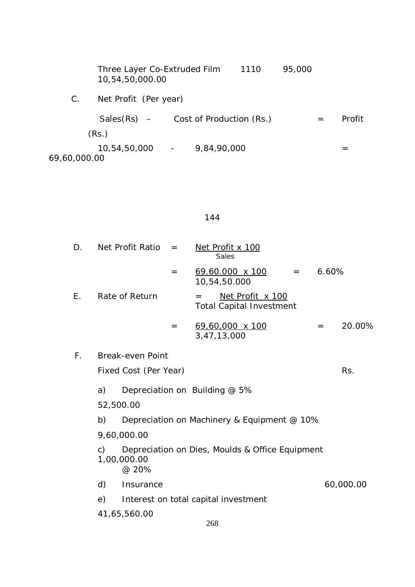|              | Three Layer Co-Extruded Film<br>10,54,50,000.00 |             | 1110 | 95,000 |     |        |
|--------------|-------------------------------------------------|-------------|------|--------|-----|--------|
| C.           | Net Profit (Per year)                           |             |      |        |     |        |
|              | $Sales(Rs)$ – Cost of Production (Rs.)          |             |      |        | $=$ | Profit |
|              | (Rs.)                                           |             |      |        |     |        |
| 69,60,000.00 | $10,54,50,000$ -                                | 9,84,90,000 |      |        |     |        |

# 144

| D.          |    | Net Profit Ratio      | $=$ | Net Profit x 100<br><b>Sales</b>                           |         |       |           |
|-------------|----|-----------------------|-----|------------------------------------------------------------|---------|-------|-----------|
|             |    |                       | $=$ | <u>69.60.000 x 100</u><br>10,54,50.000                     | $=$ $-$ | 6.60% |           |
| Ε.          |    | Rate of Return        |     | Net Profit x 100<br>$=$<br><b>Total Capital Investment</b> |         |       |           |
|             |    |                       | $=$ | 69,60,000 x 100<br>3,47,13,000                             |         | $=$   | 20.00%    |
| $F_{\perp}$ |    | Break-even Point      |     |                                                            |         |       |           |
|             |    | Fixed Cost (Per Year) |     |                                                            |         |       | Rs.       |
|             | a) |                       |     | Depreciation on Building @ 5%                              |         |       |           |
|             |    | 52,500.00             |     |                                                            |         |       |           |
|             | b) |                       |     | Depreciation on Machinery & Equipment @ 10%                |         |       |           |
|             |    | 9,60,000.00           |     |                                                            |         |       |           |
|             | c) | 1,00,000.00<br>@ 20%  |     | Depreciation on Dies, Moulds & Office Equipment            |         |       |           |
|             | d) | Insurance             |     |                                                            |         |       | 60,000.00 |
|             | e) |                       |     | Interest on total capital investment                       |         |       |           |
|             |    | 41,65,560.00          |     |                                                            |         |       |           |